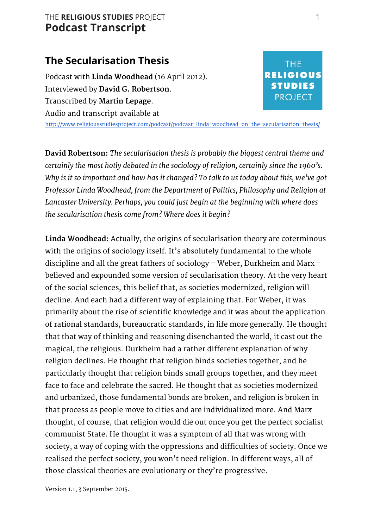### THE **RELIGIOUS STUDIES** PROJECT 1 **Podcast Transcript**

# **The Secularisation Thesis**

Podcast with **Linda Woodhead**(16 April 2012). Interviewed by **David G. Robertson**. Transcribed by **Martin Lepage**. Audio and transcript available at

# **THE RELIGIOUS STUDIES PROJECT**

<http://www.religiousstudiesproject.com/podcast/podcast-linda-woodhead-on-the-secularisation-thesis/>

**David Robertson:** *The secularisation thesis is probably the biggest central theme and certainly the most hotly debated in the sociology of religion, certainly since the 1960's. Why is it so important and how has it changed? To talk to us today about this, we've got Professor Linda Woodhead, from the Department of Politics, Philosophy and Religion at Lancaster University. Perhaps, you could just begin at the beginning with where does the secularisation thesis come from? Where does it begin?*

**Linda Woodhead:**Actually, the origins of secularisation theory are coterminous with the origins of sociology itself. It's absolutely fundamental to the whole discipline and all the great fathers of sociology – Weber, Durkheim and Marx – believed and expounded some version of secularisation theory. At the very heart of the social sciences, this belief that, as societies modernized, religion will decline. And each had a different way of explaining that. For Weber, it was primarily about the rise of scientific knowledge and it was about the application of rational standards, bureaucratic standards, in life more generally. He thought that that way of thinking and reasoning disenchanted the world, it cast out the magical, the religious. Durkheim had a rather different explanation of why religion declines. He thought that religion binds societies together, and he particularly thought that religion binds small groups together, and they meet face to face and celebrate the sacred. He thought that as societies modernized and urbanized, those fundamental bonds are broken, and religion is broken in that process as people move to cities and are individualized more. And Marx thought, of course, that religion would die out once you get the perfect socialist communist State. He thought it was a symptom of all that was wrong with society, a way of coping with the oppressions and difficulties of society. Once we realised the perfect society, you won't need religion. In different ways, all of those classical theories are evolutionary or they're progressive.

Version 1.1, 3 September 2015.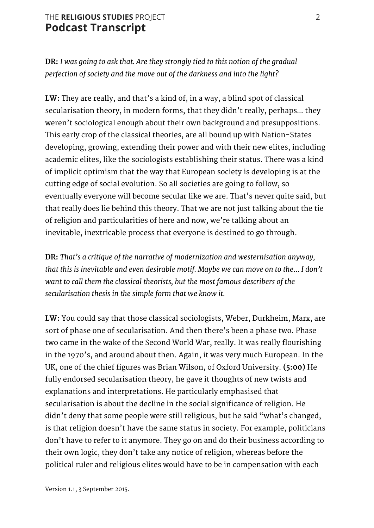### THE **RELIGIOUS STUDIES** PROJECT 2 **Podcast Transcript**

**DR:** *I was going to ask that. Are they strongly tied to this notion of the gradual perfection of society and the move out of the darkness and into the light?*

**LW:** They are really, and that's a kind of, in a way, a blind spot of classical secularisation theory, in modern forms, that they didn't really, perhaps… they weren't sociological enough about their own background and presuppositions. This early crop of the classical theories, are all bound up with Nation-States developing, growing, extending their power and with their new elites, including academic elites, like the sociologists establishing their status. There was a kind of implicit optimism that the way that European society is developing is at the cutting edge of social evolution. So all societies are going to follow, so eventually everyone will become secular like we are. That's never quite said, but that really does lie behind this theory. That we are not just talking about the tie of religion and particularities of here and now, we're talking about an inevitable, inextricable process that everyone is destined to go through.

**DR:** *That's a critique of the narrative of modernization and westernisation anyway, that this is inevitable and even desirable motif. Maybe we can move on to the*… *I don't want to call them the classical theorists, but the most famous describers of the secularisation thesis in the simple form that we know it.*

**LW:** You could say that those classical sociologists, Weber, Durkheim, Marx, are sort of phase one of secularisation. And then there's been a phase two. Phase two came in the wake of the Second World War, really. It was really flourishing in the 1970's, and around about then. Again, it was very much European. In the UK, one of the chief figures was Brian Wilson, of Oxford University. **(5:00)** He fully endorsed secularisation theory, he gave it thoughts of new twists and explanations and interpretations. He particularly emphasised that secularisation is about the decline in the social significance of religion. He didn't deny that some people were still religious, but he said "what's changed, is that religion doesn't have the same status in society. For example, politicians don't have to refer to it anymore. They go on and do their business according to their own logic, they don't take any notice of religion, whereas before the political ruler and religious elites would have to be in compensation with each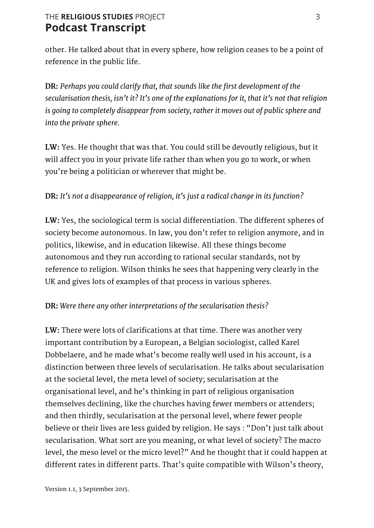# THE **RELIGIOUS STUDIES** PROJECT 3 **Podcast Transcript**

other. He talked about that in every sphere, how religion ceases to be a point of reference in the public life.

**DR:** *Perhaps you could clarify that, that sounds like the first development of the secularisation thesis, isn't it? It's one of the explanations for it, that it's not that religion is going to completely disappear from society, rather it moves out of public sphere and into the private sphere.*

**LW:** Yes. He thought that was that. You could still be devoutly religious, but it will affect you in your private life rather than when you go to work, or when you're being a politician or wherever that might be.

#### **DR:** *It's not a disappearance of religion, it's just a radical change in its function?*

**LW:** Yes, the sociological term is social differentiation. The different spheres of society become autonomous. In law, you don't refer to religion anymore, and in politics, likewise, and in education likewise. All these things become autonomous and they run according to rational secular standards, not by reference to religion. Wilson thinks he sees that happening very clearly in the UK and gives lots of examples of that process in various spheres.

#### **DR:***Were there any other interpretations of the secularisation thesis?*

**LW:**There were lots of clarifications at that time. There was another very important contribution by a European, a Belgian sociologist, called Karel Dobbelaere, and he made what's become really well used in his account, is a distinction between three levels of secularisation. He talks about secularisation at the societal level, the meta level of society; secularisation at the organisational level, and he's thinking in part of religious organisation themselves declining, like the churches having fewer members or attenders; and then thirdly, secularisation at the personal level, where fewer people believe or their lives are less guided by religion. He says : "Don't just talk about secularisation. What sort are you meaning, or what level of society? The macro level, the meso level or the micro level?" And he thought that it could happen at different rates in different parts. That's quite compatible with Wilson's theory,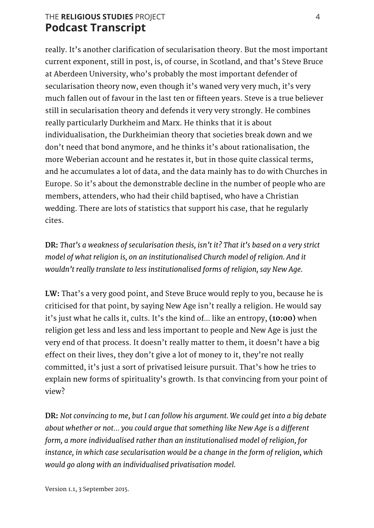# THE **RELIGIOUS STUDIES** PROJECT 4 **Podcast Transcript**

really. It's another clarification of secularisation theory. But the most important current exponent, still in post, is, of course, in Scotland, and that's Steve Bruce at Aberdeen University, who's probably the most important defender of secularisation theory now, even though it's waned very very much, it's very much fallen out of favour in the last ten or fifteen years. Steve is a true believer still in secularisation theory and defends it very very strongly. He combines really particularly Durkheim and Marx. He thinks that it is about individualisation, the Durkheimian theory that societies break down and we don't need that bond anymore, and he thinks it's about rationalisation, the more Weberian account and he restates it, but in those quite classical terms, and he accumulates a lot of data, and the data mainly has to do with Churches in Europe. So it's about the demonstrable decline in the number of people who are members, attenders, who had their child baptised, who have a Christian wedding. There are lots of statistics that support his case, that he regularly cites.

**DR:** *That's a weakness of secularisation thesis, isn't it? That it's based on a very strict model of what religion is, on an institutionalised Church model of religion. And it wouldn't really translate to less institutionalised forms of religion, say New Age.*

LW: That's a very good point, and Steve Bruce would reply to you, because he is criticised for that point, by saying New Age isn't really a religion. He would say it's just what he calls it, cults. It's the kind of… like an entropy, **(10:00)** when religion get less and less and less important to people and New Age is just the very end of that process. It doesn't really matter to them, it doesn't have a big effect on their lives, they don't give a lot of money to it, they're not really committed, it's just a sort of privatised leisure pursuit. That's how he tries to explain new forms of spirituality's growth. Is that convincing from your point of view?

**DR:** *Not convincing to me, but I can follow his argument. We could get into a big debate about whether or not*… *you could argue that something like New Age is a different form, a more individualised rather than an institutionalised model of religion, for instance, in which case secularisation would be a change in the form of religion, which would go along with an individualised privatisation model.*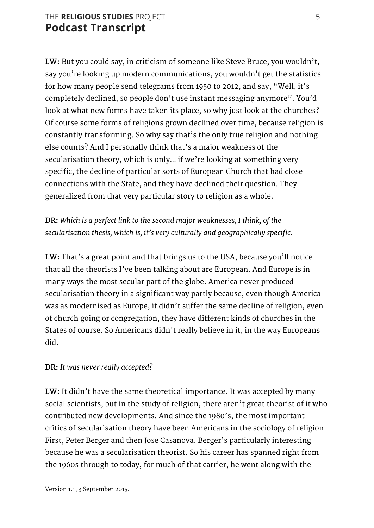### THE **RELIGIOUS STUDIES** PROJECT 5 **Podcast Transcript**

**LW:** But you could say, in criticism of someone like Steve Bruce, you wouldn't, say you're looking up modern communications, you wouldn't get the statistics for how many people send telegrams from 1950 to 2012, and say, "Well, it's completely declined, so people don't use instant messaging anymore". You'd look at what new forms have taken its place, so why just look at the churches? Of course some forms of religions grown declined over time, because religion is constantly transforming. So why say that's the only true religion and nothing else counts? And I personally think that's a major weakness of the secularisation theory, which is only… if we're looking at something very specific, the decline of particular sorts of European Church that had close connections with the State, and they have declined their question. They generalized from that very particular story to religion as a whole.

**DR:** *Which is a perfect link to the second major weaknesses, I think, of the secularisation thesis, which is, it's very culturally and geographically specific.*

**LW:** That's a great point and that brings us to the USA, because you'll notice that all the theorists I've been talking about are European. And Europe is in many ways the most secular part of the globe. America never produced secularisation theory in a significant way partly because, even though America was as modernised as Europe, it didn't suffer the same decline of religion, even of church going or congregation, they have different kinds of churches in the States of course. So Americans didn't really believe in it, in the way Europeans did.

#### **DR:** *It was never really accepted?*

**LW:** It didn't have the same theoretical importance. It was accepted by many social scientists, but in the study of religion, there aren't great theorist of it who contributed new developments. And since the 1980's, the most important critics of secularisation theory have been Americans in the sociology of religion. First, Peter Berger and then Jose Casanova. Berger's particularly interesting because he was a secularisation theorist. So his career has spanned right from the 1960s through to today, for much of that carrier, he went along with the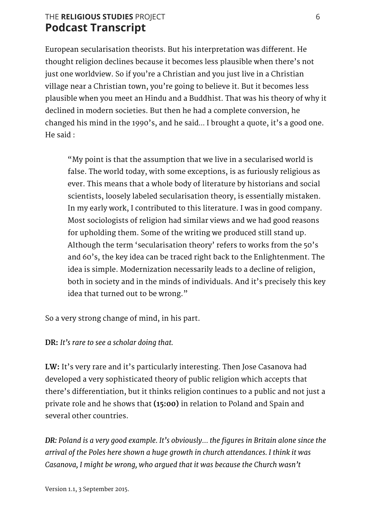## THE **RELIGIOUS STUDIES** PROJECT 6 **Podcast Transcript**

European secularisation theorists. But his interpretation was different. He thought religion declines because it becomes less plausible when there's not just one worldview. So if you're a Christian and you just live in a Christian village near a Christian town, you're going to believe it. But it becomes less plausible when you meet an Hindu and a Buddhist. That was his theory of why it declined in modern societies. But then he had a complete conversion, he changed his mind in the 1990's, and he said… I brought a quote, it's a good one. He said :

"My point is that the assumption that we live in a secularised world is false. The world today, with some exceptions, is as furiously religious as ever. This means that a whole body of literature by historians and social scientists, loosely labeled secularisation theory, is essentially mistaken. In my early work, I contributed to this literature. I was in good company. Most sociologists of religion had similar views and we had good reasons for upholding them. Some of the writing we produced still stand up. Although the term 'secularisation theory' refers to works from the 50's and 60's, the key idea can be traced right back to the Enlightenment. The idea is simple. Modernization necessarily leads to a decline of religion, both in society and in the minds of individuals. And it's precisely this key idea that turned out to be wrong."

So a very strong change of mind, in his part.

**DR:** *It's rare to see a scholar doing that.*

**LW:** It's very rare and it's particularly interesting. Then Jose Casanova had developed a very sophisticated theory of public religion which accepts that there's differentiation, but it thinks religion continues to a public and not just a private role and he shows that **(15:00)** in relation to Poland and Spain and several other countries.

*DR:Poland is a very good example. It's obviously*… *the figures in Britain alone since the arrival of the Poles here shown a huge growth in church attendances. I think it was Casanova, I might be wrong, who argued that it was because the Church wasn't*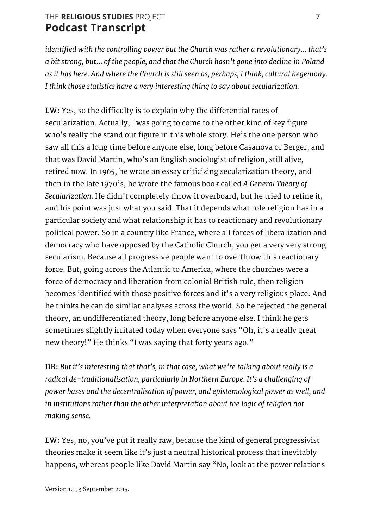# THE **RELIGIOUS STUDIES** PROJECT 7 **Podcast Transcript**

*identified with the controlling power but the Church was rather a revolutionary*… *that's a bit strong, but*… *of the people, and that the Church hasn't gone into decline in Poland as it has here. And where the Church is still seen as, perhaps, I think, cultural hegemony. I think those statistics have a very interesting thing to say about secularization.*

**LW:** Yes, so the difficulty is to explain why the differential rates of secularization. Actually, I was going to come to the other kind of key figure who's really the stand out figure in this whole story. He's the one person who saw all this a long time before anyone else, long before Casanova or Berger, and that was David Martin, who's an English sociologist of religion, still alive, retired now. In 1965, he wrote an essay criticizing secularization theory, and then in the late 1970's, he wrote the famous book called *A General Theory of Secularization.* He didn't completely throw it overboard, but he tried to refine it, and his point was just what you said. That it depends what role religion has in a particular society and what relationship it has to reactionary and revolutionary political power. So in a country like France, where all forces of liberalization and democracy who have opposed by the Catholic Church, you get a very very strong secularism. Because all progressive people want to overthrow this reactionary force. But, going across the Atlantic to America, where the churches were a force of democracy and liberation from colonial British rule, then religion becomes identified with those positive forces and it's a very religious place. And he thinks he can do similar analyses across the world. So he rejected the general theory, an undifferentiated theory, long before anyone else. I think he gets sometimes slightly irritated today when everyone says "Oh, it's a really great new theory!" He thinks "I was saying that forty years ago."

**DR:***But it's interesting that that's, in that case, what we're talking about really is a radical de-traditionalisation, particularly in Northern Europe. It's a challenging of power bases and the decentralisation of power, and epistemological power as well, and in institutions rather than the other interpretation about the logic of religion not making sense.*

**LW:** Yes, no, you've put it really raw, because the kind of general progressivist theories make it seem like it's just a neutral historical process that inevitably happens, whereas people like David Martin say "No, look at the power relations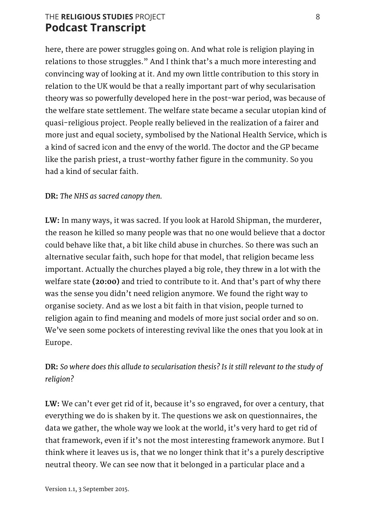# THE **RELIGIOUS STUDIES** PROJECT 8 **Podcast Transcript**

here, there are power struggles going on. And what role is religion playing in relations to those struggles." And I think that's a much more interesting and convincing way of looking at it. And my own little contribution to this story in relation to the UK would be that a really important part of why secularisation theory was so powerfully developed here in the post-war period, was because of the welfare state settlement. The welfare state became a secular utopian kind of quasi-religious project. People really believed in the realization of a fairer and more just and equal society, symbolised by the National Health Service, which is a kind of sacred icon and the envy of the world. The doctor and the GP became like the parish priest, a trust-worthy father figure in the community. So you had a kind of secular faith.

### **DR:** *The NHS as sacred canopy then.*

**LW:** In many ways, it was sacred. If you look at Harold Shipman, the murderer, the reason he killed so many people was that no one would believe that a doctor could behave like that, a bit like child abuse in churches. So there was such an alternative secular faith, such hope for that model, that religion became less important. Actually the churches played a big role, they threw in a lot with the welfare state **(20:00)** and tried to contribute to it. And that's part of why there was the sense you didn't need religion anymore. We found the right way to organise society. And as we lost a bit faith in that vision, people turned to religion again to find meaning and models of more just social order and so on. We've seen some pockets of interesting revival like the ones that you look at in Europe.

## **DR:** *So where does this allude to secularisation thesis? Is it still relevant to the study of religion?*

**LW:** We can't ever get rid of it, because it's so engraved, for over a century, that everything we do is shaken by it. The questions we ask on questionnaires, the data we gather, the whole way we look at the world, it's very hard to get rid of that framework, even if it's not the most interesting framework anymore. But I think where it leaves us is, that we no longer think that it's a purely descriptive neutral theory. We can see now that it belonged in a particular place and a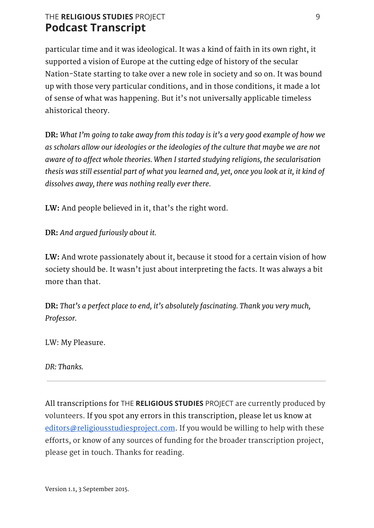# THE **RELIGIOUS STUDIES** PROJECT 9 **Podcast Transcript**

particular time and it was ideological. It was a kind of faith in its own right, it supported a vision of Europe at the cutting edge of history of the secular Nation-State starting to take over a new role in society and so on. It was bound up with those very particular conditions, and in those conditions, it made a lot of sense of what was happening. But it's not universally applicable timeless ahistorical theory.

**DR:** *What I'm going to take away from this today is it's a very good example of how we as scholars allow our ideologies or the ideologies of the culture that maybe we are not aware of to affect whole theories. When I started studying religions, the secularisation* thesis was still essential part of what you learned and, yet, once you look at it, it kind of *dissolves away, there was nothing really ever there.*

**LW:** And people believed in it, that's the right word.

**DR:** *And argued furiously about it.*

**LW:**And wrote passionately about it, because it stood for a certain vision of how society should be. It wasn't just about interpreting the facts. It was always a bit more than that.

**DR:***That's a perfect place to end, it's absolutely fascinating. Thank you very much, Professor.*

LW: My Pleasure.

*DR: Thanks.*

All transcriptions for THE **RELIGIOUS STUDIES** PROJECT are currently produced by volunteers. If you spot any errors in this transcription, please let us know at [editors@religiousstudiesproject.com.](mailto:editors@religiousstudiesproject.com) If you would be willing to help with these efforts, or know of any sources of funding for the broader transcription project, please get in touch. Thanks for reading.